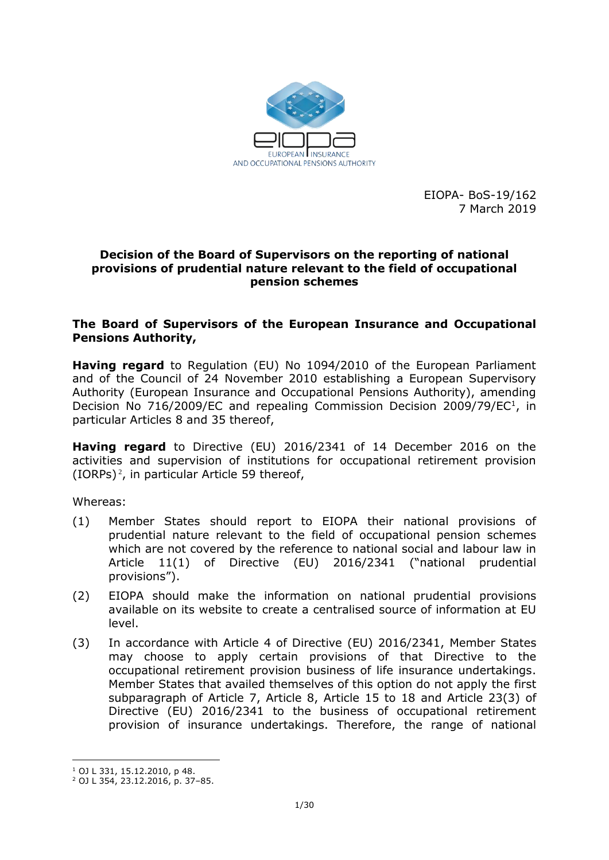

EIOPA- BoS-19/162 7 March 2019

### **Decision of the Board of Supervisors on the reporting of national provisions of prudential nature relevant to the field of occupational pension schemes**

### **The Board of Supervisors of the European Insurance and Occupational Pensions Authority,**

**Having regard** to Regulation (EU) No 1094/2010 of the European Parliament and of the Council of 24 November 2010 establishing a European Supervisory Authority (European Insurance and Occupational Pensions Authority), amending Decision No 716/2009/EC and repealing Commission Decision 2009/79/EC<sup>1</sup>, in particular Articles 8 and 35 thereof,

**Having regard** to Directive (EU) 2016/2341 of 14 December 2016 on the activities and supervision of institutions for occupational retirement provision (IORPs) <sup>2</sup> , in particular Article 59 thereof,

Whereas:

- (1) Member States should report to EIOPA their national provisions of prudential nature relevant to the field of occupational pension schemes which are not covered by the reference to national social and labour law in Article 11(1) of Directive (EU) 2016/2341 ("national prudential provisions").
- (2) EIOPA should make the information on national prudential provisions available on its website to create a centralised source of information at EU level.
- (3) In accordance with Article 4 of Directive (EU) 2016/2341, Member States may choose to apply certain provisions of that Directive to the occupational retirement provision business of life insurance undertakings. Member States that availed themselves of this option do not apply the first subparagraph of Article 7, Article 8, Article 15 to 18 and Article 23(3) of Directive (EU) 2016/2341 to the business of occupational retirement provision of insurance undertakings. Therefore, the range of national

1

<sup>1</sup> OJ L 331, 15.12.2010, p 48.

<sup>2</sup> OJ L 354, 23.12.2016, p. 37–85.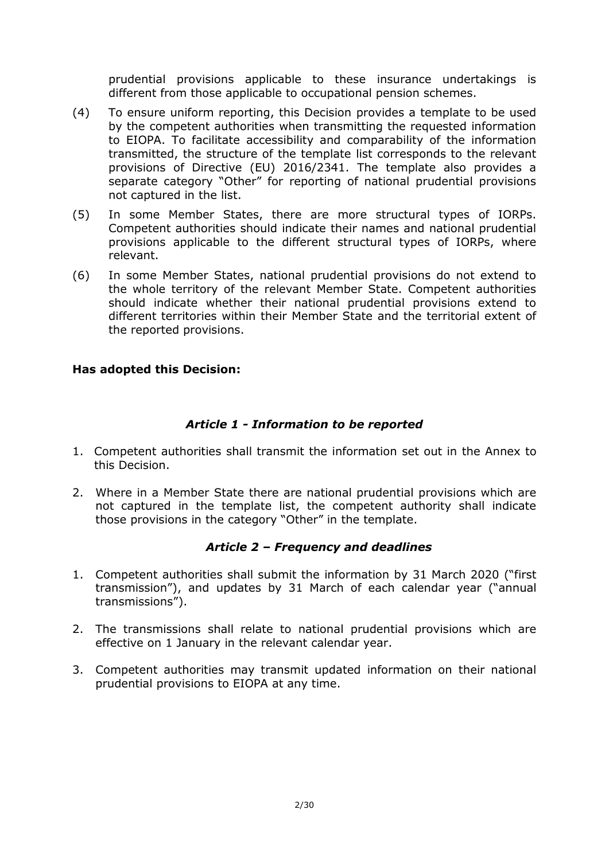prudential provisions applicable to these insurance undertakings is different from those applicable to occupational pension schemes.

- (4) To ensure uniform reporting, this Decision provides a template to be used by the competent authorities when transmitting the requested information to EIOPA. To facilitate accessibility and comparability of the information transmitted, the structure of the template list corresponds to the relevant provisions of Directive (EU) 2016/2341. The template also provides a separate category "Other" for reporting of national prudential provisions not captured in the list.
- (5) In some Member States, there are more structural types of IORPs. Competent authorities should indicate their names and national prudential provisions applicable to the different structural types of IORPs, where relevant.
- (6) In some Member States, national prudential provisions do not extend to the whole territory of the relevant Member State. Competent authorities should indicate whether their national prudential provisions extend to different territories within their Member State and the territorial extent of the reported provisions.

## **Has adopted this Decision:**

## *Article 1 - Information to be reported*

- 1. Competent authorities shall transmit the information set out in the Annex to this Decision.
- 2. Where in a Member State there are national prudential provisions which are not captured in the template list, the competent authority shall indicate those provisions in the category "Other" in the template.

## *Article 2 – Frequency and deadlines*

- 1. Competent authorities shall submit the information by 31 March 2020 ("first transmission"), and updates by 31 March of each calendar year ("annual transmissions").
- 2. The transmissions shall relate to national prudential provisions which are effective on 1 January in the relevant calendar year.
- 3. Competent authorities may transmit updated information on their national prudential provisions to EIOPA at any time.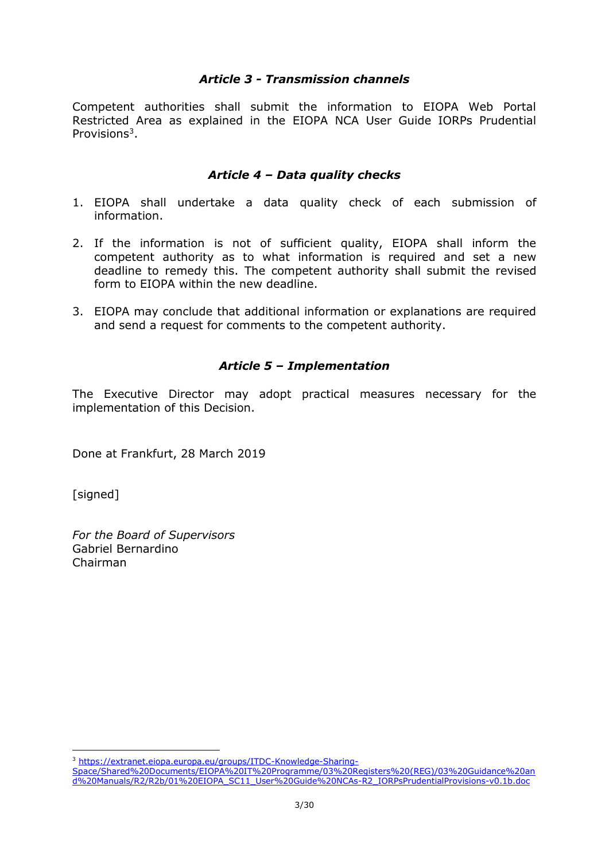### *Article 3 - Transmission channels*

Competent authorities shall submit the information to EIOPA Web Portal Restricted Area as explained in the EIOPA NCA User Guide IORPs Prudential Provisions<sup>3</sup>.

### *Article 4 – Data quality checks*

- 1. EIOPA shall undertake a data quality check of each submission of information.
- 2. If the information is not of sufficient quality, EIOPA shall inform the competent authority as to what information is required and set a new deadline to remedy this. The competent authority shall submit the revised form to EIOPA within the new deadline.
- 3. EIOPA may conclude that additional information or explanations are required and send a request for comments to the competent authority.

## *Article 5 – Implementation*

The Executive Director may adopt practical measures necessary for the implementation of this Decision.

Done at Frankfurt, 28 March 2019

[signed]

<u>.</u>

*For the Board of Supervisors*  Gabriel Bernardino Chairman

<sup>3</sup> [https://extranet.eiopa.europa.eu/groups/ITDC-Knowledge-Sharing-](https://extranet.eiopa.europa.eu/groups/ITDC-Knowledge-Sharing-Space/Shared%20Documents/EIOPA%20IT%20Programme/03%20Registers%20(REG)/03%20Guidance%20and%20Manuals/R2/R2b/01%20EIOPA_SC11_User%20Guide%20NCAs-R2_IORPsPrudentialProvisions-v0.1b.doc)

[Space/Shared%20Documents/EIOPA%20IT%20Programme/03%20Registers%20\(REG\)/03%20Guidance%20an](https://extranet.eiopa.europa.eu/groups/ITDC-Knowledge-Sharing-Space/Shared%20Documents/EIOPA%20IT%20Programme/03%20Registers%20(REG)/03%20Guidance%20and%20Manuals/R2/R2b/01%20EIOPA_SC11_User%20Guide%20NCAs-R2_IORPsPrudentialProvisions-v0.1b.doc) [d%20Manuals/R2/R2b/01%20EIOPA\\_SC11\\_User%20Guide%20NCAs-R2\\_IORPsPrudentialProvisions-v0.1b.doc](https://extranet.eiopa.europa.eu/groups/ITDC-Knowledge-Sharing-Space/Shared%20Documents/EIOPA%20IT%20Programme/03%20Registers%20(REG)/03%20Guidance%20and%20Manuals/R2/R2b/01%20EIOPA_SC11_User%20Guide%20NCAs-R2_IORPsPrudentialProvisions-v0.1b.doc)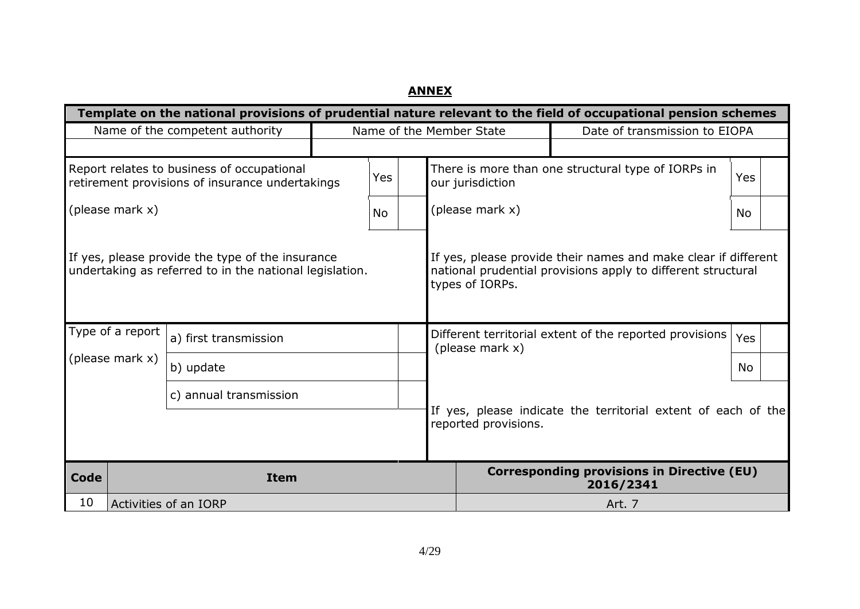# **ANNEX**

|                                                                                                             | Template on the national provisions of prudential nature relevant to the field of occupational pension schemes |                                                               |                 |                                                                                                                                |                      |                                                                |     |
|-------------------------------------------------------------------------------------------------------------|----------------------------------------------------------------------------------------------------------------|---------------------------------------------------------------|-----------------|--------------------------------------------------------------------------------------------------------------------------------|----------------------|----------------------------------------------------------------|-----|
|                                                                                                             | Name of the competent authority<br>Name of the Member State                                                    |                                                               |                 |                                                                                                                                |                      | Date of transmission to EIOPA                                  |     |
|                                                                                                             |                                                                                                                |                                                               |                 |                                                                                                                                |                      |                                                                |     |
|                                                                                                             | Report relates to business of occupational<br>retirement provisions of insurance undertakings                  |                                                               | Yes             |                                                                                                                                | our jurisdiction     | There is more than one structural type of IORPs in             | Yes |
| (please mark x)                                                                                             |                                                                                                                |                                                               | <b>No</b>       |                                                                                                                                | (please mark x)      |                                                                | No. |
| If yes, please provide the type of the insurance<br>undertaking as referred to in the national legislation. |                                                                                                                |                                                               | types of IORPs. | If yes, please provide their names and make clear if different<br>national prudential provisions apply to different structural |                      |                                                                |     |
| Type of a report                                                                                            | a) first transmission                                                                                          |                                                               |                 |                                                                                                                                | (please mark x)      | Different territorial extent of the reported provisions        | Yes |
| (please mark x)                                                                                             | b) update                                                                                                      |                                                               |                 |                                                                                                                                |                      | No                                                             |     |
| c) annual transmission                                                                                      |                                                                                                                | If yes, please indicate the territorial extent of each of the |                 |                                                                                                                                |                      |                                                                |     |
|                                                                                                             |                                                                                                                |                                                               |                 |                                                                                                                                | reported provisions. |                                                                |     |
| Code                                                                                                        | <b>Item</b>                                                                                                    |                                                               |                 |                                                                                                                                |                      | <b>Corresponding provisions in Directive (EU)</b><br>2016/2341 |     |
| 10                                                                                                          | Activities of an IORP                                                                                          |                                                               |                 |                                                                                                                                |                      | Art. 7                                                         |     |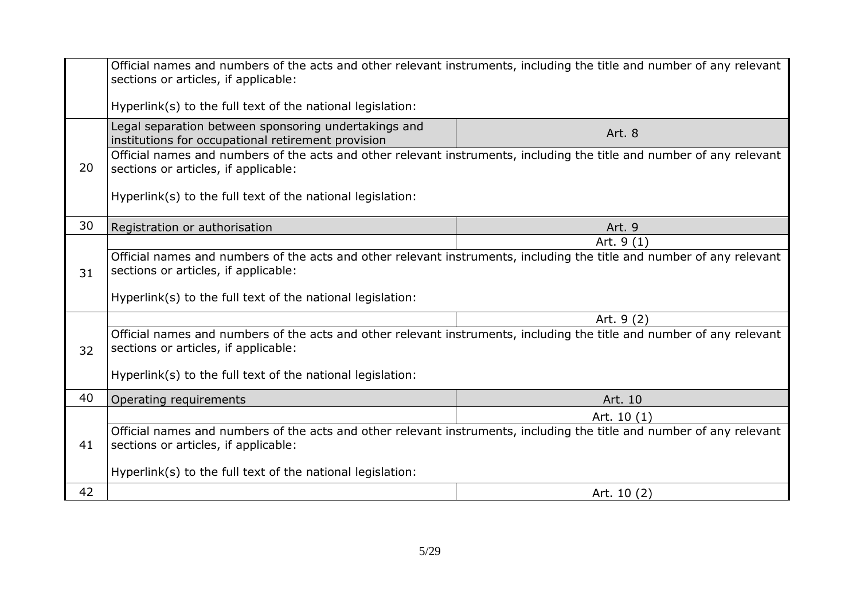|    | Official names and numbers of the acts and other relevant instruments, including the title and number of any relevant<br>sections or articles, if applicable: |              |  |
|----|---------------------------------------------------------------------------------------------------------------------------------------------------------------|--------------|--|
|    | Hyperlink(s) to the full text of the national legislation:                                                                                                    |              |  |
|    | Legal separation between sponsoring undertakings and<br>institutions for occupational retirement provision                                                    | Art. 8       |  |
| 20 | Official names and numbers of the acts and other relevant instruments, including the title and number of any relevant<br>sections or articles, if applicable: |              |  |
|    | Hyperlink(s) to the full text of the national legislation:                                                                                                    |              |  |
| 30 | Registration or authorisation                                                                                                                                 | Art. 9       |  |
|    |                                                                                                                                                               | Art. 9 (1)   |  |
|    | Official names and numbers of the acts and other relevant instruments, including the title and number of any relevant                                         |              |  |
| 31 | sections or articles, if applicable:                                                                                                                          |              |  |
|    | Hyperlink(s) to the full text of the national legislation:                                                                                                    |              |  |
|    |                                                                                                                                                               | Art. 9 (2)   |  |
| 32 | Official names and numbers of the acts and other relevant instruments, including the title and number of any relevant<br>sections or articles, if applicable: |              |  |
|    | Hyperlink(s) to the full text of the national legislation:                                                                                                    |              |  |
| 40 | Operating requirements                                                                                                                                        | Art. 10      |  |
|    |                                                                                                                                                               | Art. $10(1)$ |  |
| 41 | Official names and numbers of the acts and other relevant instruments, including the title and number of any relevant<br>sections or articles, if applicable: |              |  |
|    | Hyperlink(s) to the full text of the national legislation:                                                                                                    |              |  |
| 42 |                                                                                                                                                               | Art. 10 (2)  |  |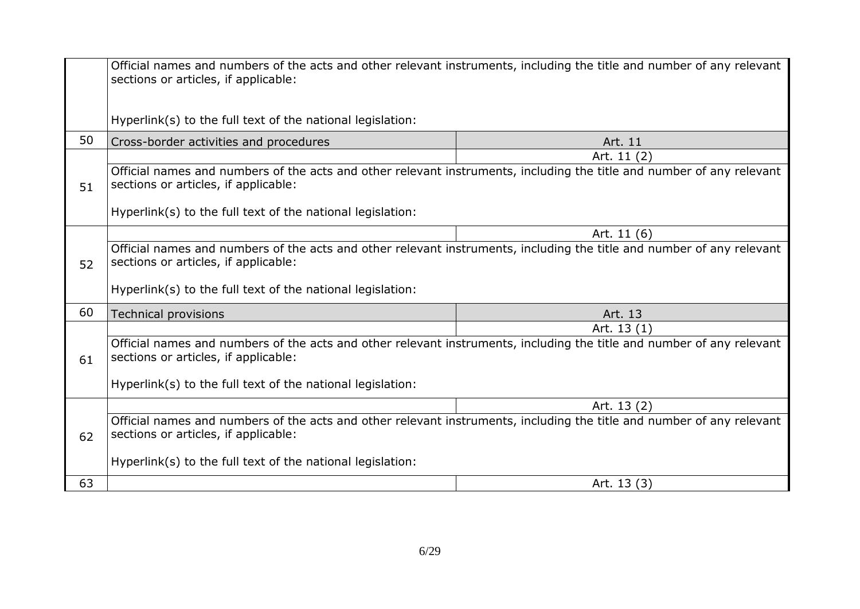|    | Official names and numbers of the acts and other relevant instruments, including the title and number of any relevant<br>sections or articles, if applicable: |             |  |
|----|---------------------------------------------------------------------------------------------------------------------------------------------------------------|-------------|--|
|    | Hyperlink(s) to the full text of the national legislation:                                                                                                    |             |  |
| 50 | Cross-border activities and procedures                                                                                                                        | Art. 11     |  |
|    |                                                                                                                                                               | Art. 11 (2) |  |
| 51 | Official names and numbers of the acts and other relevant instruments, including the title and number of any relevant<br>sections or articles, if applicable: |             |  |
|    | Hyperlink(s) to the full text of the national legislation:                                                                                                    |             |  |
|    |                                                                                                                                                               | Art. 11 (6) |  |
| 52 | Official names and numbers of the acts and other relevant instruments, including the title and number of any relevant<br>sections or articles, if applicable: |             |  |
|    | Hyperlink(s) to the full text of the national legislation:                                                                                                    |             |  |
| 60 | <b>Technical provisions</b>                                                                                                                                   | Art. 13     |  |
|    |                                                                                                                                                               | Art. 13 (1) |  |
| 61 | Official names and numbers of the acts and other relevant instruments, including the title and number of any relevant<br>sections or articles, if applicable: |             |  |
|    | Hyperlink(s) to the full text of the national legislation:                                                                                                    |             |  |
|    |                                                                                                                                                               | Art. 13 (2) |  |
| 62 | Official names and numbers of the acts and other relevant instruments, including the title and number of any relevant<br>sections or articles, if applicable: |             |  |
|    | Hyperlink(s) to the full text of the national legislation:                                                                                                    |             |  |
| 63 |                                                                                                                                                               | Art. 13 (3) |  |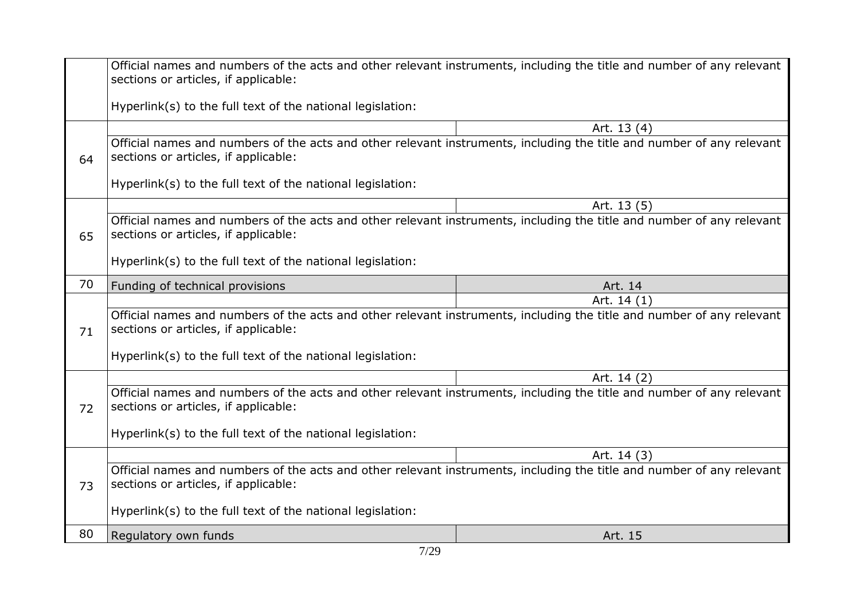|    | Official names and numbers of the acts and other relevant instruments, including the title and number of any relevant<br>sections or articles, if applicable: |             |  |
|----|---------------------------------------------------------------------------------------------------------------------------------------------------------------|-------------|--|
|    | Hyperlink(s) to the full text of the national legislation:                                                                                                    |             |  |
|    |                                                                                                                                                               | Art. 13 (4) |  |
| 64 | Official names and numbers of the acts and other relevant instruments, including the title and number of any relevant<br>sections or articles, if applicable: |             |  |
|    | Hyperlink(s) to the full text of the national legislation:                                                                                                    |             |  |
|    |                                                                                                                                                               | Art. 13 (5) |  |
| 65 | Official names and numbers of the acts and other relevant instruments, including the title and number of any relevant<br>sections or articles, if applicable: |             |  |
|    | Hyperlink(s) to the full text of the national legislation:                                                                                                    |             |  |
| 70 | Funding of technical provisions                                                                                                                               | Art. 14     |  |
|    |                                                                                                                                                               | Art. 14 (1) |  |
| 71 | Official names and numbers of the acts and other relevant instruments, including the title and number of any relevant<br>sections or articles, if applicable: |             |  |
|    | Hyperlink(s) to the full text of the national legislation:                                                                                                    |             |  |
|    |                                                                                                                                                               | Art. 14 (2) |  |
| 72 | Official names and numbers of the acts and other relevant instruments, including the title and number of any relevant<br>sections or articles, if applicable: |             |  |
|    | Hyperlink(s) to the full text of the national legislation:                                                                                                    |             |  |
|    |                                                                                                                                                               | Art. 14 (3) |  |
| 73 | Official names and numbers of the acts and other relevant instruments, including the title and number of any relevant<br>sections or articles, if applicable: |             |  |
|    | Hyperlink(s) to the full text of the national legislation:                                                                                                    |             |  |
| 80 | Regulatory own funds                                                                                                                                          | Art. 15     |  |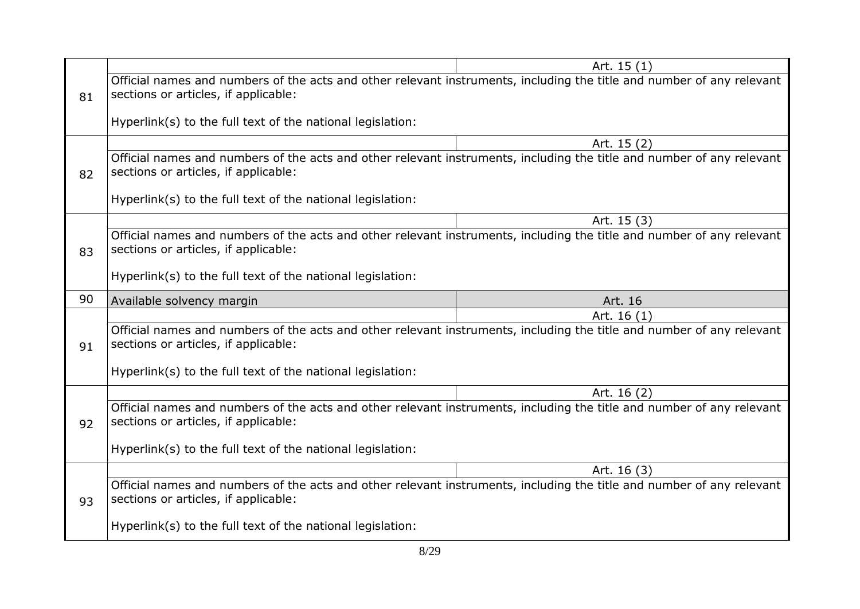|    |                                                                                                                                                               | Art. 15 (1) |  |  |
|----|---------------------------------------------------------------------------------------------------------------------------------------------------------------|-------------|--|--|
| 81 | Official names and numbers of the acts and other relevant instruments, including the title and number of any relevant<br>sections or articles, if applicable: |             |  |  |
|    | Hyperlink(s) to the full text of the national legislation:                                                                                                    |             |  |  |
|    |                                                                                                                                                               | Art. 15 (2) |  |  |
| 82 | Official names and numbers of the acts and other relevant instruments, including the title and number of any relevant<br>sections or articles, if applicable: |             |  |  |
|    | Hyperlink(s) to the full text of the national legislation:                                                                                                    |             |  |  |
|    |                                                                                                                                                               | Art. 15 (3) |  |  |
| 83 | Official names and numbers of the acts and other relevant instruments, including the title and number of any relevant<br>sections or articles, if applicable: |             |  |  |
|    | Hyperlink(s) to the full text of the national legislation:                                                                                                    |             |  |  |
| 90 | Available solvency margin                                                                                                                                     | Art. 16     |  |  |
|    |                                                                                                                                                               | Art. 16 (1) |  |  |
| 91 | Official names and numbers of the acts and other relevant instruments, including the title and number of any relevant<br>sections or articles, if applicable: |             |  |  |
|    | Hyperlink(s) to the full text of the national legislation:                                                                                                    |             |  |  |
|    |                                                                                                                                                               | Art. 16 (2) |  |  |
| 92 | Official names and numbers of the acts and other relevant instruments, including the title and number of any relevant<br>sections or articles, if applicable: |             |  |  |
|    | Hyperlink(s) to the full text of the national legislation:                                                                                                    |             |  |  |
|    |                                                                                                                                                               | Art. 16 (3) |  |  |
| 93 | Official names and numbers of the acts and other relevant instruments, including the title and number of any relevant<br>sections or articles, if applicable: |             |  |  |
|    | Hyperlink(s) to the full text of the national legislation:                                                                                                    |             |  |  |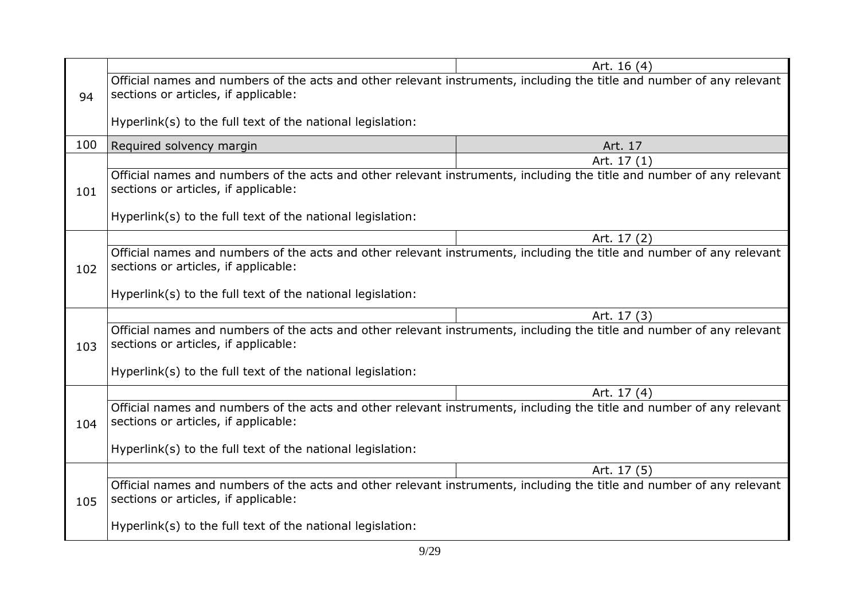|     |                                                                                                                                                               | Art. 16 (4) |  |
|-----|---------------------------------------------------------------------------------------------------------------------------------------------------------------|-------------|--|
|     | Official names and numbers of the acts and other relevant instruments, including the title and number of any relevant                                         |             |  |
| 94  | sections or articles, if applicable:                                                                                                                          |             |  |
|     |                                                                                                                                                               |             |  |
|     | Hyperlink(s) to the full text of the national legislation:                                                                                                    |             |  |
| 100 | Required solvency margin                                                                                                                                      | Art. 17     |  |
|     |                                                                                                                                                               | Art. 17 (1) |  |
| 101 | Official names and numbers of the acts and other relevant instruments, including the title and number of any relevant<br>sections or articles, if applicable: |             |  |
|     | Hyperlink(s) to the full text of the national legislation:                                                                                                    |             |  |
|     |                                                                                                                                                               | Art. 17 (2) |  |
|     | Official names and numbers of the acts and other relevant instruments, including the title and number of any relevant                                         |             |  |
| 102 | sections or articles, if applicable:                                                                                                                          |             |  |
|     | Hyperlink(s) to the full text of the national legislation:                                                                                                    |             |  |
|     |                                                                                                                                                               |             |  |
|     |                                                                                                                                                               | Art. 17 (3) |  |
| 103 | Official names and numbers of the acts and other relevant instruments, including the title and number of any relevant<br>sections or articles, if applicable: |             |  |
|     | Hyperlink(s) to the full text of the national legislation:                                                                                                    |             |  |
|     |                                                                                                                                                               |             |  |
|     |                                                                                                                                                               | Art. 17 (4) |  |
| 104 | Official names and numbers of the acts and other relevant instruments, including the title and number of any relevant<br>sections or articles, if applicable: |             |  |
|     | Hyperlink(s) to the full text of the national legislation:                                                                                                    |             |  |
|     |                                                                                                                                                               | Art. 17 (5) |  |
| 105 | Official names and numbers of the acts and other relevant instruments, including the title and number of any relevant<br>sections or articles, if applicable: |             |  |
|     | Hyperlink(s) to the full text of the national legislation:                                                                                                    |             |  |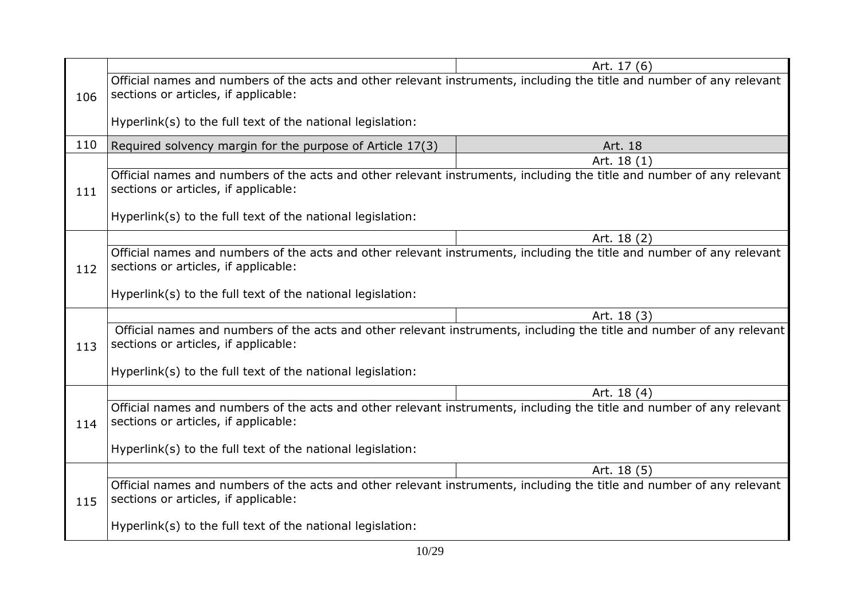|     |                                                                                                                                                               | Art. 17 (6) |  |
|-----|---------------------------------------------------------------------------------------------------------------------------------------------------------------|-------------|--|
|     | Official names and numbers of the acts and other relevant instruments, including the title and number of any relevant                                         |             |  |
| 106 | sections or articles, if applicable:                                                                                                                          |             |  |
|     |                                                                                                                                                               |             |  |
|     | Hyperlink(s) to the full text of the national legislation:                                                                                                    |             |  |
| 110 | Required solvency margin for the purpose of Article 17(3)                                                                                                     | Art. 18     |  |
|     |                                                                                                                                                               | Art. 18 (1) |  |
| 111 | Official names and numbers of the acts and other relevant instruments, including the title and number of any relevant<br>sections or articles, if applicable: |             |  |
|     |                                                                                                                                                               |             |  |
|     | Hyperlink(s) to the full text of the national legislation:                                                                                                    |             |  |
|     |                                                                                                                                                               | Art. 18 (2) |  |
|     | Official names and numbers of the acts and other relevant instruments, including the title and number of any relevant                                         |             |  |
| 112 | sections or articles, if applicable:                                                                                                                          |             |  |
|     | Hyperlink(s) to the full text of the national legislation:                                                                                                    |             |  |
|     |                                                                                                                                                               |             |  |
|     |                                                                                                                                                               | Art. 18 (3) |  |
| 113 | Official names and numbers of the acts and other relevant instruments, including the title and number of any relevant<br>sections or articles, if applicable: |             |  |
|     |                                                                                                                                                               |             |  |
|     | Hyperlink(s) to the full text of the national legislation:                                                                                                    |             |  |
|     |                                                                                                                                                               | Art. 18 (4) |  |
| 114 | Official names and numbers of the acts and other relevant instruments, including the title and number of any relevant<br>sections or articles, if applicable: |             |  |
|     | Hyperlink(s) to the full text of the national legislation:                                                                                                    |             |  |
|     |                                                                                                                                                               |             |  |
|     |                                                                                                                                                               | Art. 18 (5) |  |
| 115 | Official names and numbers of the acts and other relevant instruments, including the title and number of any relevant<br>sections or articles, if applicable: |             |  |
|     | Hyperlink(s) to the full text of the national legislation:                                                                                                    |             |  |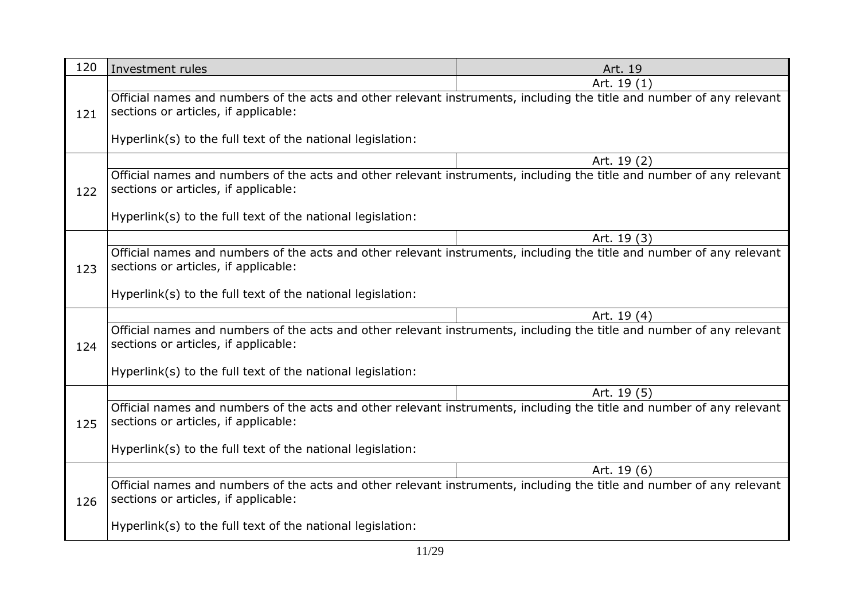| 120 | Investment rules                                                                                                                                              | Art. 19     |
|-----|---------------------------------------------------------------------------------------------------------------------------------------------------------------|-------------|
|     |                                                                                                                                                               | Art. 19 (1) |
| 121 | Official names and numbers of the acts and other relevant instruments, including the title and number of any relevant<br>sections or articles, if applicable: |             |
|     | Hyperlink(s) to the full text of the national legislation:                                                                                                    |             |
|     |                                                                                                                                                               | Art. 19 (2) |
| 122 | Official names and numbers of the acts and other relevant instruments, including the title and number of any relevant<br>sections or articles, if applicable: |             |
|     | Hyperlink(s) to the full text of the national legislation:                                                                                                    |             |
|     |                                                                                                                                                               | Art. 19 (3) |
| 123 | Official names and numbers of the acts and other relevant instruments, including the title and number of any relevant<br>sections or articles, if applicable: |             |
|     | Hyperlink(s) to the full text of the national legislation:                                                                                                    |             |
|     |                                                                                                                                                               | Art. 19 (4) |
| 124 | Official names and numbers of the acts and other relevant instruments, including the title and number of any relevant<br>sections or articles, if applicable: |             |
|     | Hyperlink(s) to the full text of the national legislation:                                                                                                    |             |
|     |                                                                                                                                                               | Art. 19 (5) |
| 125 | Official names and numbers of the acts and other relevant instruments, including the title and number of any relevant<br>sections or articles, if applicable: |             |
|     | Hyperlink(s) to the full text of the national legislation:                                                                                                    |             |
|     |                                                                                                                                                               | Art. 19 (6) |
| 126 | Official names and numbers of the acts and other relevant instruments, including the title and number of any relevant<br>sections or articles, if applicable: |             |
|     | Hyperlink(s) to the full text of the national legislation:                                                                                                    |             |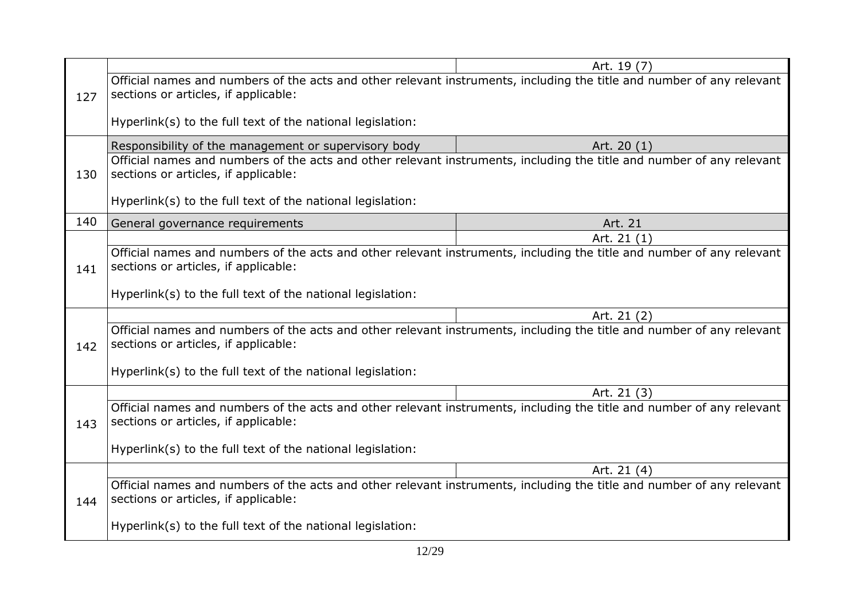|     |                                                                                                                                                               | Art. 19 (7) |  |
|-----|---------------------------------------------------------------------------------------------------------------------------------------------------------------|-------------|--|
|     | Official names and numbers of the acts and other relevant instruments, including the title and number of any relevant                                         |             |  |
| 127 | sections or articles, if applicable:                                                                                                                          |             |  |
|     |                                                                                                                                                               |             |  |
|     | Hyperlink(s) to the full text of the national legislation:                                                                                                    |             |  |
|     |                                                                                                                                                               |             |  |
|     | Responsibility of the management or supervisory body                                                                                                          | Art. 20 (1) |  |
| 130 | Official names and numbers of the acts and other relevant instruments, including the title and number of any relevant<br>sections or articles, if applicable: |             |  |
|     |                                                                                                                                                               |             |  |
|     | Hyperlink(s) to the full text of the national legislation:                                                                                                    |             |  |
|     |                                                                                                                                                               |             |  |
| 140 | General governance requirements                                                                                                                               | Art. 21     |  |
|     |                                                                                                                                                               | Art. 21 (1) |  |
|     | Official names and numbers of the acts and other relevant instruments, including the title and number of any relevant                                         |             |  |
| 141 | sections or articles, if applicable:                                                                                                                          |             |  |
|     | Hyperlink(s) to the full text of the national legislation:                                                                                                    |             |  |
|     |                                                                                                                                                               |             |  |
|     |                                                                                                                                                               | Art. 21 (2) |  |
|     | Official names and numbers of the acts and other relevant instruments, including the title and number of any relevant                                         |             |  |
| 142 | sections or articles, if applicable:                                                                                                                          |             |  |
|     | Hyperlink(s) to the full text of the national legislation:                                                                                                    |             |  |
|     |                                                                                                                                                               |             |  |
|     |                                                                                                                                                               | Art. 21 (3) |  |
|     | Official names and numbers of the acts and other relevant instruments, including the title and number of any relevant                                         |             |  |
| 143 | sections or articles, if applicable:                                                                                                                          |             |  |
|     | Hyperlink(s) to the full text of the national legislation:                                                                                                    |             |  |
|     |                                                                                                                                                               |             |  |
|     |                                                                                                                                                               | Art. 21 (4) |  |
|     | Official names and numbers of the acts and other relevant instruments, including the title and number of any relevant                                         |             |  |
| 144 | sections or articles, if applicable:                                                                                                                          |             |  |
|     | Hyperlink(s) to the full text of the national legislation:                                                                                                    |             |  |
|     |                                                                                                                                                               |             |  |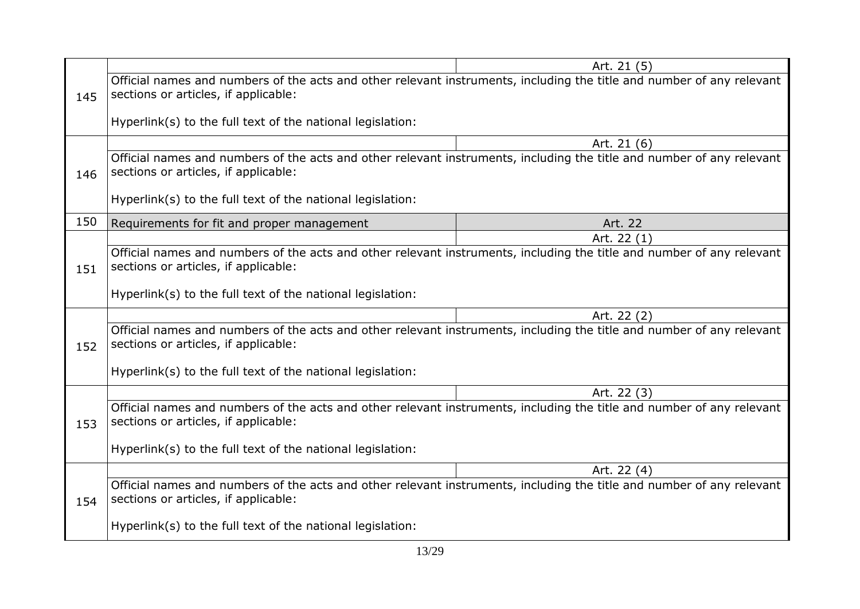|     |                                                                                                                       | Art. 21 (5) |  |
|-----|-----------------------------------------------------------------------------------------------------------------------|-------------|--|
|     |                                                                                                                       |             |  |
|     | Official names and numbers of the acts and other relevant instruments, including the title and number of any relevant |             |  |
| 145 | sections or articles, if applicable:                                                                                  |             |  |
|     |                                                                                                                       |             |  |
|     | Hyperlink(s) to the full text of the national legislation:                                                            |             |  |
|     |                                                                                                                       | Art. 21 (6) |  |
|     | Official names and numbers of the acts and other relevant instruments, including the title and number of any relevant |             |  |
|     | sections or articles, if applicable:                                                                                  |             |  |
| 146 |                                                                                                                       |             |  |
|     | Hyperlink(s) to the full text of the national legislation:                                                            |             |  |
|     |                                                                                                                       |             |  |
| 150 | Requirements for fit and proper management                                                                            | Art. 22     |  |
|     |                                                                                                                       | Art. 22 (1) |  |
|     | Official names and numbers of the acts and other relevant instruments, including the title and number of any relevant |             |  |
| 151 | sections or articles, if applicable:                                                                                  |             |  |
|     |                                                                                                                       |             |  |
|     | Hyperlink(s) to the full text of the national legislation:                                                            |             |  |
|     |                                                                                                                       |             |  |
|     |                                                                                                                       | Art. 22 (2) |  |
|     | Official names and numbers of the acts and other relevant instruments, including the title and number of any relevant |             |  |
| 152 | sections or articles, if applicable:                                                                                  |             |  |
|     |                                                                                                                       |             |  |
|     | Hyperlink(s) to the full text of the national legislation:                                                            |             |  |
|     |                                                                                                                       | Art. 22 (3) |  |
|     | Official names and numbers of the acts and other relevant instruments, including the title and number of any relevant |             |  |
| 153 | sections or articles, if applicable:                                                                                  |             |  |
|     |                                                                                                                       |             |  |
|     | Hyperlink(s) to the full text of the national legislation:                                                            |             |  |
|     |                                                                                                                       |             |  |
|     |                                                                                                                       | Art. 22 (4) |  |
|     | Official names and numbers of the acts and other relevant instruments, including the title and number of any relevant |             |  |
| 154 | sections or articles, if applicable:                                                                                  |             |  |
|     |                                                                                                                       |             |  |
|     | Hyperlink(s) to the full text of the national legislation:                                                            |             |  |
|     |                                                                                                                       |             |  |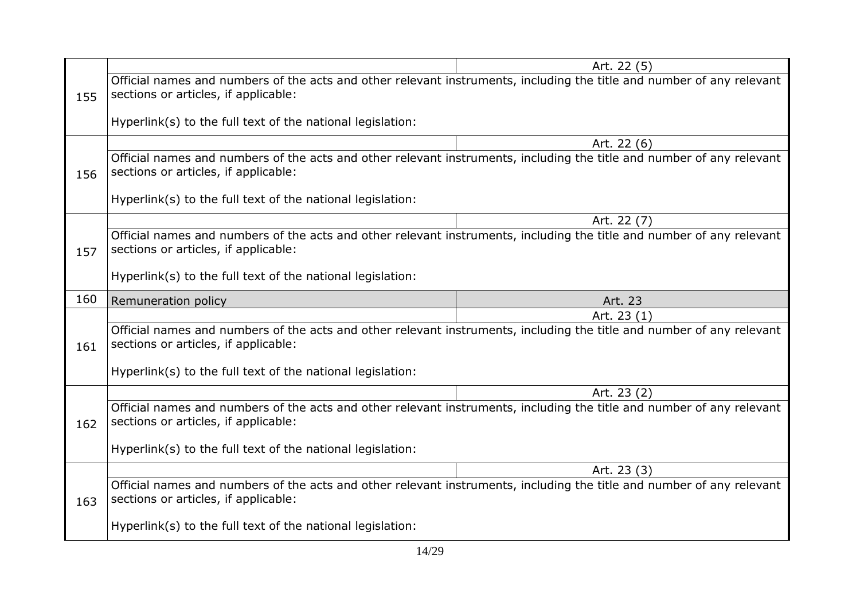|     |                                                                                                                                                               | Art. 22 (5)                                                                                                           |  |
|-----|---------------------------------------------------------------------------------------------------------------------------------------------------------------|-----------------------------------------------------------------------------------------------------------------------|--|
| 155 | Official names and numbers of the acts and other relevant instruments, including the title and number of any relevant<br>sections or articles, if applicable: |                                                                                                                       |  |
|     | Hyperlink(s) to the full text of the national legislation:                                                                                                    |                                                                                                                       |  |
|     |                                                                                                                                                               | Art. 22 (6)                                                                                                           |  |
| 156 | Official names and numbers of the acts and other relevant instruments, including the title and number of any relevant<br>sections or articles, if applicable: |                                                                                                                       |  |
|     | Hyperlink(s) to the full text of the national legislation:                                                                                                    |                                                                                                                       |  |
|     |                                                                                                                                                               | Art. 22 (7)                                                                                                           |  |
| 157 | Official names and numbers of the acts and other relevant instruments, including the title and number of any relevant<br>sections or articles, if applicable: |                                                                                                                       |  |
|     | Hyperlink(s) to the full text of the national legislation:                                                                                                    |                                                                                                                       |  |
| 160 | Remuneration policy                                                                                                                                           | Art. 23                                                                                                               |  |
|     |                                                                                                                                                               | Art. 23 (1)                                                                                                           |  |
| 161 |                                                                                                                                                               |                                                                                                                       |  |
|     | sections or articles, if applicable:                                                                                                                          | Official names and numbers of the acts and other relevant instruments, including the title and number of any relevant |  |
|     | Hyperlink(s) to the full text of the national legislation:                                                                                                    |                                                                                                                       |  |
|     |                                                                                                                                                               | Art. 23 (2)                                                                                                           |  |
| 162 | Official names and numbers of the acts and other relevant instruments, including the title and number of any relevant<br>sections or articles, if applicable: |                                                                                                                       |  |
|     | Hyperlink(s) to the full text of the national legislation:                                                                                                    |                                                                                                                       |  |
|     |                                                                                                                                                               | Art. 23 (3)                                                                                                           |  |
| 163 | Official names and numbers of the acts and other relevant instruments, including the title and number of any relevant<br>sections or articles, if applicable: |                                                                                                                       |  |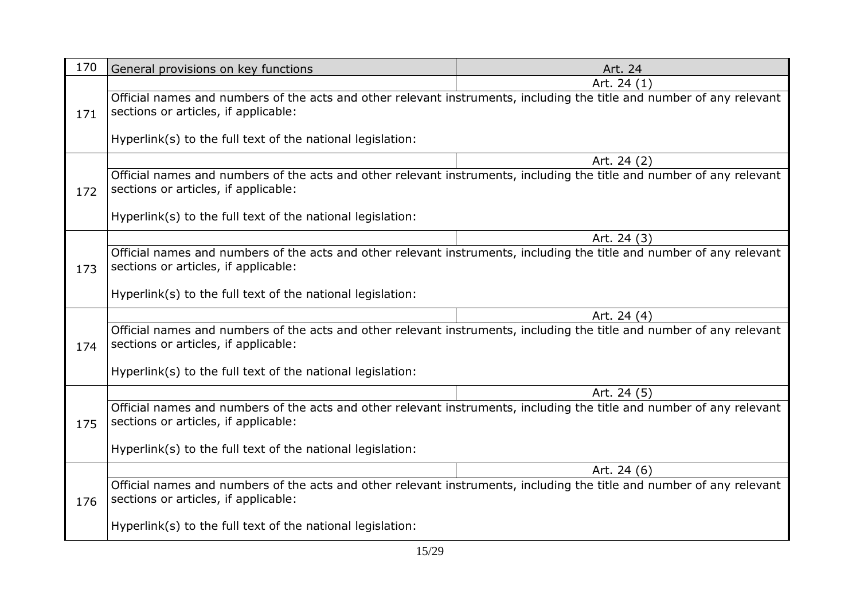| 170 | General provisions on key functions                                                                                                                           | Art. 24     |
|-----|---------------------------------------------------------------------------------------------------------------------------------------------------------------|-------------|
|     |                                                                                                                                                               | Art. 24 (1) |
| 171 | Official names and numbers of the acts and other relevant instruments, including the title and number of any relevant<br>sections or articles, if applicable: |             |
|     | Hyperlink(s) to the full text of the national legislation:                                                                                                    |             |
|     |                                                                                                                                                               | Art. 24 (2) |
| 172 | Official names and numbers of the acts and other relevant instruments, including the title and number of any relevant<br>sections or articles, if applicable: |             |
|     | Hyperlink(s) to the full text of the national legislation:                                                                                                    |             |
|     |                                                                                                                                                               | Art. 24 (3) |
| 173 | Official names and numbers of the acts and other relevant instruments, including the title and number of any relevant<br>sections or articles, if applicable: |             |
|     | Hyperlink(s) to the full text of the national legislation:                                                                                                    |             |
|     |                                                                                                                                                               | Art. 24 (4) |
| 174 | Official names and numbers of the acts and other relevant instruments, including the title and number of any relevant<br>sections or articles, if applicable: |             |
|     | Hyperlink(s) to the full text of the national legislation:                                                                                                    |             |
|     |                                                                                                                                                               | Art. 24 (5) |
| 175 | Official names and numbers of the acts and other relevant instruments, including the title and number of any relevant<br>sections or articles, if applicable: |             |
|     | Hyperlink(s) to the full text of the national legislation:                                                                                                    |             |
|     |                                                                                                                                                               | Art. 24 (6) |
| 176 | Official names and numbers of the acts and other relevant instruments, including the title and number of any relevant<br>sections or articles, if applicable: |             |
|     | Hyperlink(s) to the full text of the national legislation:                                                                                                    |             |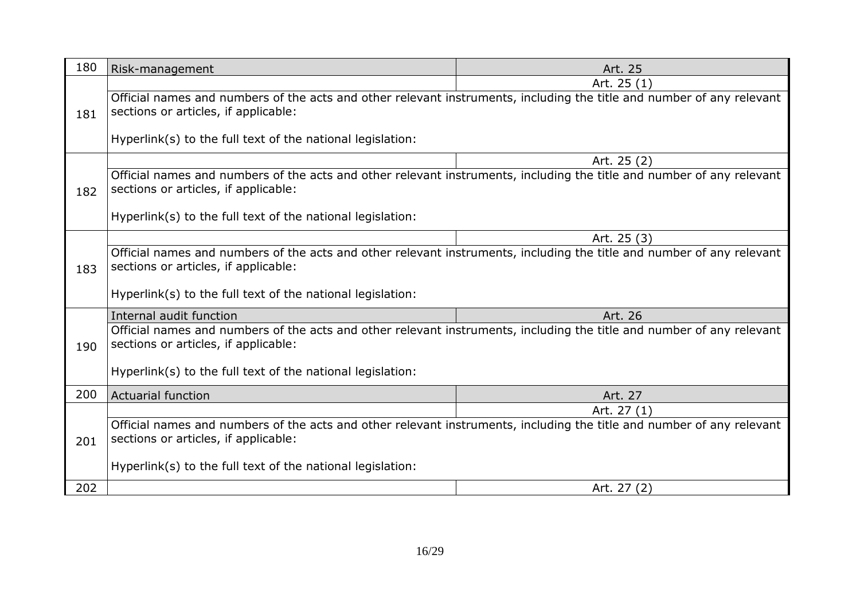| 180 | Risk-management                                                                                                                                               | Art. 25     |
|-----|---------------------------------------------------------------------------------------------------------------------------------------------------------------|-------------|
|     |                                                                                                                                                               | Art. 25 (1) |
| 181 | Official names and numbers of the acts and other relevant instruments, including the title and number of any relevant<br>sections or articles, if applicable: |             |
|     | Hyperlink(s) to the full text of the national legislation:                                                                                                    |             |
|     |                                                                                                                                                               | Art. 25 (2) |
| 182 | Official names and numbers of the acts and other relevant instruments, including the title and number of any relevant<br>sections or articles, if applicable: |             |
|     | Hyperlink(s) to the full text of the national legislation:                                                                                                    |             |
|     |                                                                                                                                                               | Art. 25 (3) |
| 183 | Official names and numbers of the acts and other relevant instruments, including the title and number of any relevant<br>sections or articles, if applicable: |             |
|     | Hyperlink(s) to the full text of the national legislation:                                                                                                    |             |
|     | Internal audit function                                                                                                                                       | Art. 26     |
| 190 | Official names and numbers of the acts and other relevant instruments, including the title and number of any relevant<br>sections or articles, if applicable: |             |
|     | Hyperlink(s) to the full text of the national legislation:                                                                                                    |             |
| 200 | <b>Actuarial function</b>                                                                                                                                     | Art. 27     |
|     |                                                                                                                                                               | Art. 27 (1) |
| 201 | Official names and numbers of the acts and other relevant instruments, including the title and number of any relevant<br>sections or articles, if applicable: |             |
|     | Hyperlink(s) to the full text of the national legislation:                                                                                                    |             |
| 202 |                                                                                                                                                               | Art. 27 (2) |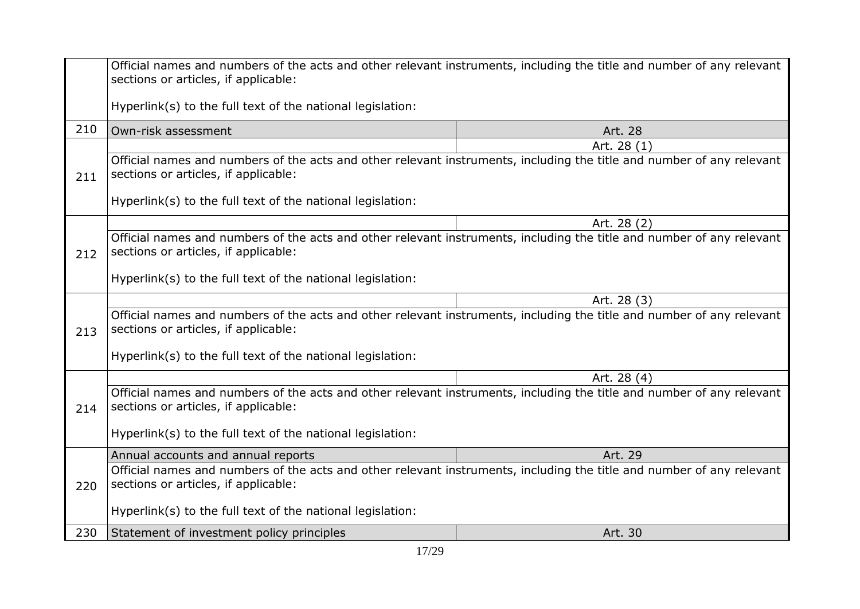|     | Official names and numbers of the acts and other relevant instruments, including the title and number of any relevant<br>sections or articles, if applicable: |             |  |
|-----|---------------------------------------------------------------------------------------------------------------------------------------------------------------|-------------|--|
|     | Hyperlink(s) to the full text of the national legislation:                                                                                                    |             |  |
| 210 | Own-risk assessment                                                                                                                                           | Art. 28     |  |
|     |                                                                                                                                                               | Art. 28 (1) |  |
| 211 | Official names and numbers of the acts and other relevant instruments, including the title and number of any relevant<br>sections or articles, if applicable: |             |  |
|     | Hyperlink(s) to the full text of the national legislation:                                                                                                    |             |  |
|     |                                                                                                                                                               | Art. 28 (2) |  |
| 212 | Official names and numbers of the acts and other relevant instruments, including the title and number of any relevant<br>sections or articles, if applicable: |             |  |
|     | Hyperlink(s) to the full text of the national legislation:                                                                                                    |             |  |
|     |                                                                                                                                                               | Art. 28 (3) |  |
| 213 | Official names and numbers of the acts and other relevant instruments, including the title and number of any relevant<br>sections or articles, if applicable: |             |  |
|     | Hyperlink(s) to the full text of the national legislation:                                                                                                    |             |  |
|     |                                                                                                                                                               | Art. 28 (4) |  |
| 214 | Official names and numbers of the acts and other relevant instruments, including the title and number of any relevant<br>sections or articles, if applicable: |             |  |
|     | Hyperlink(s) to the full text of the national legislation:                                                                                                    |             |  |
|     | Annual accounts and annual reports                                                                                                                            | Art. 29     |  |
| 220 | Official names and numbers of the acts and other relevant instruments, including the title and number of any relevant<br>sections or articles, if applicable: |             |  |
|     | Hyperlink(s) to the full text of the national legislation:                                                                                                    |             |  |
| 230 | Statement of investment policy principles                                                                                                                     | Art. 30     |  |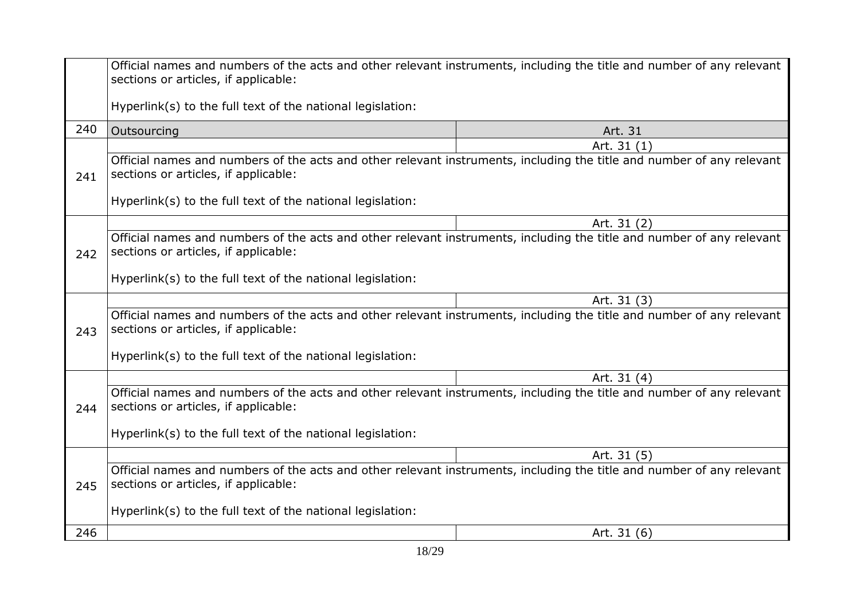|             | Official names and numbers of the acts and other relevant instruments, including the title and number of any relevant<br>sections or articles, if applicable: |             |
|-------------|---------------------------------------------------------------------------------------------------------------------------------------------------------------|-------------|
|             | Hyperlink(s) to the full text of the national legislation:                                                                                                    |             |
| 240         | Outsourcing                                                                                                                                                   | Art. 31     |
|             |                                                                                                                                                               | Art. 31 (1) |
| 241         | Official names and numbers of the acts and other relevant instruments, including the title and number of any relevant<br>sections or articles, if applicable: |             |
|             | Hyperlink(s) to the full text of the national legislation:                                                                                                    |             |
|             |                                                                                                                                                               | Art. 31 (2) |
| 242         | Official names and numbers of the acts and other relevant instruments, including the title and number of any relevant<br>sections or articles, if applicable: |             |
|             | Hyperlink(s) to the full text of the national legislation:                                                                                                    |             |
|             |                                                                                                                                                               | Art. 31 (3) |
| 243         | Official names and numbers of the acts and other relevant instruments, including the title and number of any relevant<br>sections or articles, if applicable: |             |
|             | Hyperlink(s) to the full text of the national legislation:                                                                                                    |             |
| Art. 31 (4) |                                                                                                                                                               |             |
| 244         | Official names and numbers of the acts and other relevant instruments, including the title and number of any relevant<br>sections or articles, if applicable: |             |
|             | Hyperlink(s) to the full text of the national legislation:                                                                                                    |             |
|             |                                                                                                                                                               | Art. 31 (5) |
| 245         | Official names and numbers of the acts and other relevant instruments, including the title and number of any relevant<br>sections or articles, if applicable: |             |
|             | Hyperlink(s) to the full text of the national legislation:                                                                                                    |             |
| 246         |                                                                                                                                                               | Art. 31 (6) |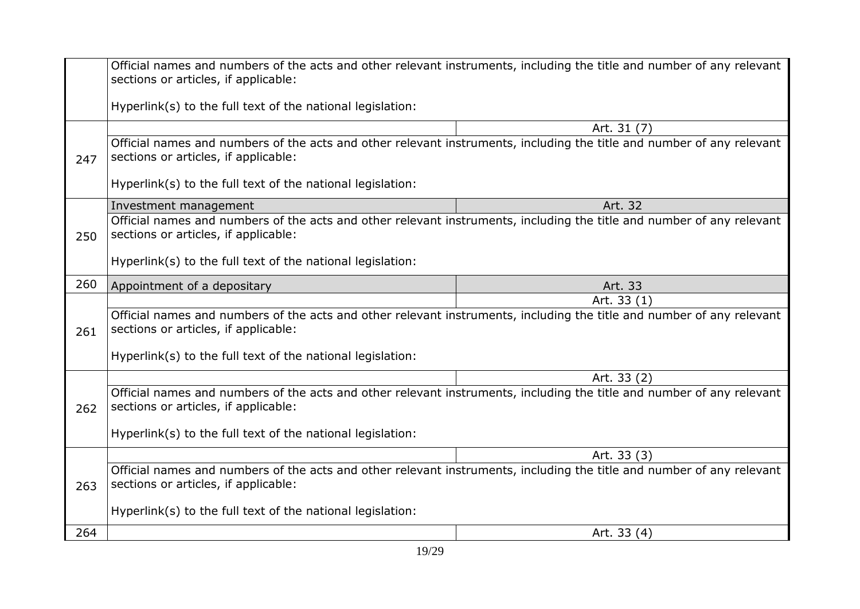|     | Official names and numbers of the acts and other relevant instruments, including the title and number of any relevant<br>sections or articles, if applicable: |             |
|-----|---------------------------------------------------------------------------------------------------------------------------------------------------------------|-------------|
|     | Hyperlink(s) to the full text of the national legislation:                                                                                                    |             |
|     |                                                                                                                                                               | Art. 31 (7) |
| 247 | Official names and numbers of the acts and other relevant instruments, including the title and number of any relevant<br>sections or articles, if applicable: |             |
|     | Hyperlink(s) to the full text of the national legislation:                                                                                                    |             |
|     | Investment management                                                                                                                                         | Art. 32     |
| 250 | Official names and numbers of the acts and other relevant instruments, including the title and number of any relevant<br>sections or articles, if applicable: |             |
|     | Hyperlink(s) to the full text of the national legislation:                                                                                                    |             |
| 260 | Appointment of a depositary                                                                                                                                   | Art. 33     |
|     |                                                                                                                                                               | Art. 33 (1) |
| 261 | Official names and numbers of the acts and other relevant instruments, including the title and number of any relevant<br>sections or articles, if applicable: |             |
|     | Hyperlink(s) to the full text of the national legislation:                                                                                                    |             |
|     | Art. 33 (2)                                                                                                                                                   |             |
| 262 | Official names and numbers of the acts and other relevant instruments, including the title and number of any relevant<br>sections or articles, if applicable: |             |
|     | Hyperlink(s) to the full text of the national legislation:                                                                                                    |             |
|     |                                                                                                                                                               | Art. 33 (3) |
| 263 | Official names and numbers of the acts and other relevant instruments, including the title and number of any relevant<br>sections or articles, if applicable: |             |
|     | Hyperlink(s) to the full text of the national legislation:                                                                                                    |             |
| 264 |                                                                                                                                                               | Art. 33 (4) |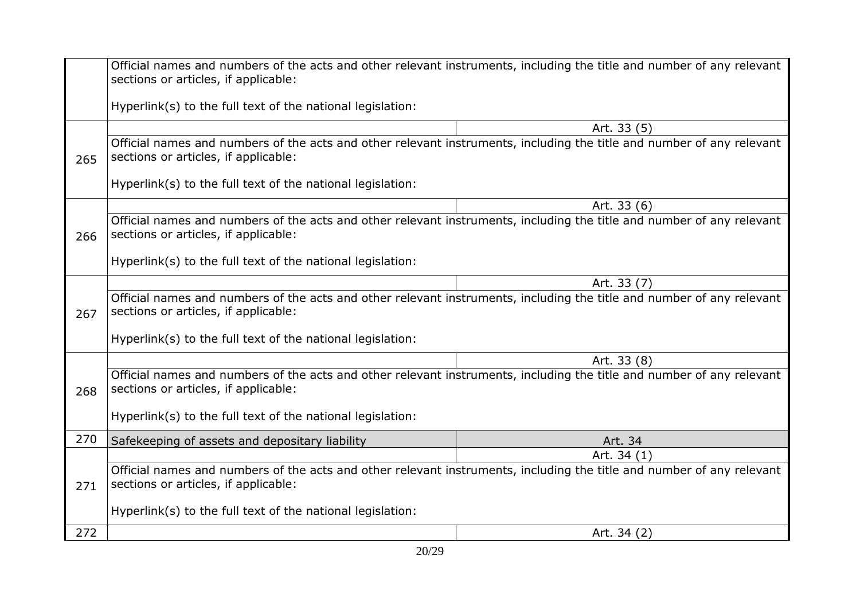|     | Official names and numbers of the acts and other relevant instruments, including the title and number of any relevant<br>sections or articles, if applicable: |             |
|-----|---------------------------------------------------------------------------------------------------------------------------------------------------------------|-------------|
|     | Hyperlink(s) to the full text of the national legislation:                                                                                                    |             |
|     |                                                                                                                                                               | Art. 33 (5) |
| 265 | Official names and numbers of the acts and other relevant instruments, including the title and number of any relevant<br>sections or articles, if applicable: |             |
|     | Hyperlink(s) to the full text of the national legislation:                                                                                                    |             |
|     |                                                                                                                                                               | Art. 33 (6) |
| 266 | Official names and numbers of the acts and other relevant instruments, including the title and number of any relevant<br>sections or articles, if applicable: |             |
|     | Hyperlink(s) to the full text of the national legislation:                                                                                                    |             |
|     |                                                                                                                                                               | Art. 33 (7) |
| 267 | Official names and numbers of the acts and other relevant instruments, including the title and number of any relevant<br>sections or articles, if applicable: |             |
|     | Hyperlink(s) to the full text of the national legislation:                                                                                                    |             |
|     | Art. 33 (8)                                                                                                                                                   |             |
| 268 | Official names and numbers of the acts and other relevant instruments, including the title and number of any relevant<br>sections or articles, if applicable: |             |
|     | Hyperlink(s) to the full text of the national legislation:                                                                                                    |             |
| 270 | Safekeeping of assets and depositary liability                                                                                                                | Art. 34     |
|     |                                                                                                                                                               | Art. 34 (1) |
| 271 | Official names and numbers of the acts and other relevant instruments, including the title and number of any relevant<br>sections or articles, if applicable: |             |
|     | Hyperlink(s) to the full text of the national legislation:                                                                                                    |             |
| 272 |                                                                                                                                                               | Art. 34 (2) |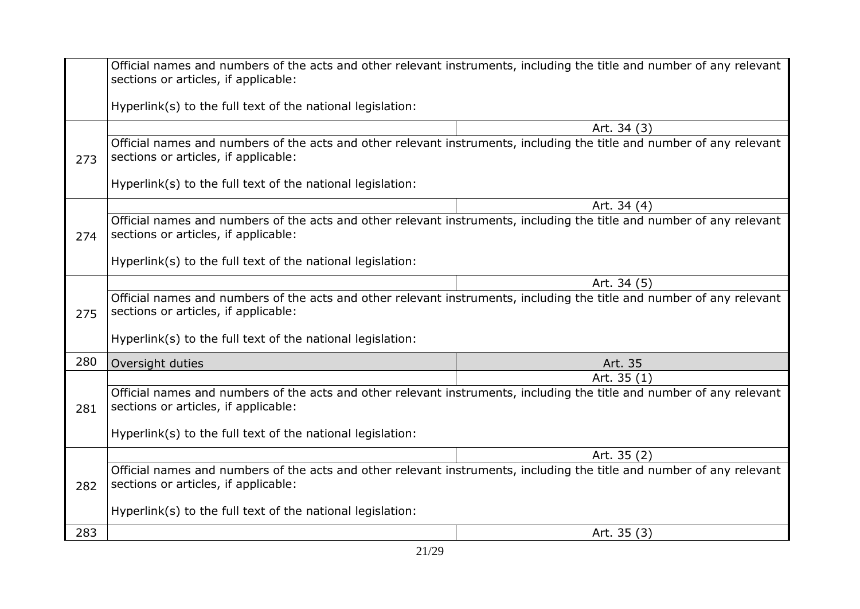|     | Official names and numbers of the acts and other relevant instruments, including the title and number of any relevant<br>sections or articles, if applicable: |             |
|-----|---------------------------------------------------------------------------------------------------------------------------------------------------------------|-------------|
|     | Hyperlink(s) to the full text of the national legislation:                                                                                                    |             |
|     |                                                                                                                                                               | Art. 34 (3) |
| 273 | Official names and numbers of the acts and other relevant instruments, including the title and number of any relevant<br>sections or articles, if applicable: |             |
|     | Hyperlink(s) to the full text of the national legislation:                                                                                                    |             |
|     |                                                                                                                                                               | Art. 34 (4) |
| 274 | Official names and numbers of the acts and other relevant instruments, including the title and number of any relevant<br>sections or articles, if applicable: |             |
|     | Hyperlink(s) to the full text of the national legislation:                                                                                                    |             |
|     |                                                                                                                                                               | Art. 34 (5) |
| 275 | Official names and numbers of the acts and other relevant instruments, including the title and number of any relevant<br>sections or articles, if applicable: |             |
|     | Hyperlink(s) to the full text of the national legislation:                                                                                                    |             |
| 280 | Oversight duties                                                                                                                                              | Art. 35     |
|     |                                                                                                                                                               | Art. 35 (1) |
| 281 | Official names and numbers of the acts and other relevant instruments, including the title and number of any relevant<br>sections or articles, if applicable: |             |
|     | Hyperlink(s) to the full text of the national legislation:                                                                                                    |             |
|     |                                                                                                                                                               | Art. 35 (2) |
| 282 | Official names and numbers of the acts and other relevant instruments, including the title and number of any relevant<br>sections or articles, if applicable: |             |
|     | Hyperlink(s) to the full text of the national legislation:                                                                                                    |             |
| 283 |                                                                                                                                                               | Art. 35 (3) |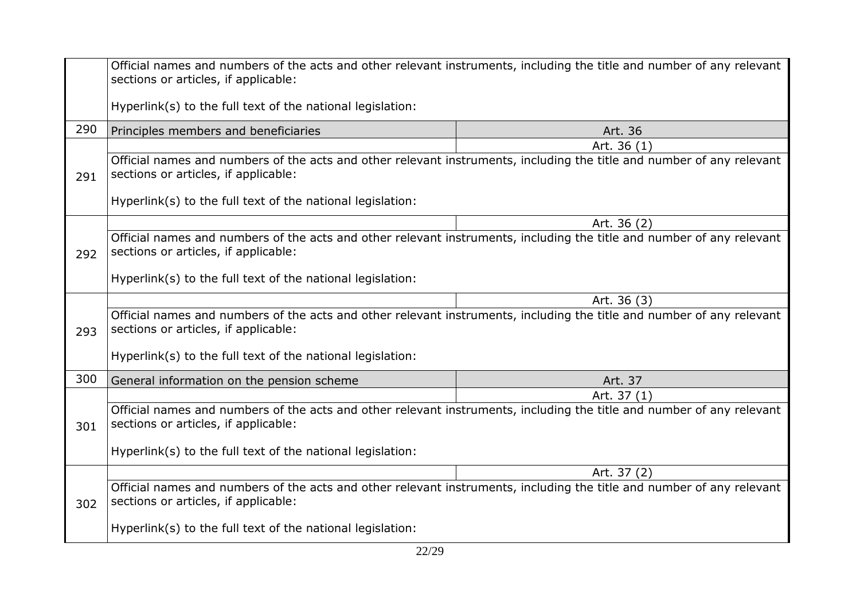|                                                                                                                                                                      | Official names and numbers of the acts and other relevant instruments, including the title and number of any relevant<br>sections or articles, if applicable: |             |
|----------------------------------------------------------------------------------------------------------------------------------------------------------------------|---------------------------------------------------------------------------------------------------------------------------------------------------------------|-------------|
|                                                                                                                                                                      | Hyperlink(s) to the full text of the national legislation:                                                                                                    |             |
| 290                                                                                                                                                                  | Principles members and beneficiaries                                                                                                                          | Art. 36     |
|                                                                                                                                                                      |                                                                                                                                                               | Art. 36 (1) |
| 291                                                                                                                                                                  | Official names and numbers of the acts and other relevant instruments, including the title and number of any relevant<br>sections or articles, if applicable: |             |
|                                                                                                                                                                      | Hyperlink(s) to the full text of the national legislation:                                                                                                    |             |
|                                                                                                                                                                      |                                                                                                                                                               | Art. 36 (2) |
| 292                                                                                                                                                                  | Official names and numbers of the acts and other relevant instruments, including the title and number of any relevant<br>sections or articles, if applicable: |             |
|                                                                                                                                                                      | Hyperlink(s) to the full text of the national legislation:                                                                                                    |             |
|                                                                                                                                                                      |                                                                                                                                                               | Art. 36 (3) |
| 293                                                                                                                                                                  | Official names and numbers of the acts and other relevant instruments, including the title and number of any relevant<br>sections or articles, if applicable: |             |
|                                                                                                                                                                      | Hyperlink(s) to the full text of the national legislation:                                                                                                    |             |
| 300                                                                                                                                                                  | General information on the pension scheme                                                                                                                     | Art. 37     |
|                                                                                                                                                                      |                                                                                                                                                               | Art. 37 (1) |
| Official names and numbers of the acts and other relevant instruments, including the title and number of any relevant<br>sections or articles, if applicable:<br>301 |                                                                                                                                                               |             |
|                                                                                                                                                                      | Hyperlink(s) to the full text of the national legislation:                                                                                                    |             |
|                                                                                                                                                                      |                                                                                                                                                               | Art. 37 (2) |
| Official names and numbers of the acts and other relevant instruments, including the title and number of any relevant<br>sections or articles, if applicable:<br>302 |                                                                                                                                                               |             |
|                                                                                                                                                                      | Hyperlink(s) to the full text of the national legislation:                                                                                                    |             |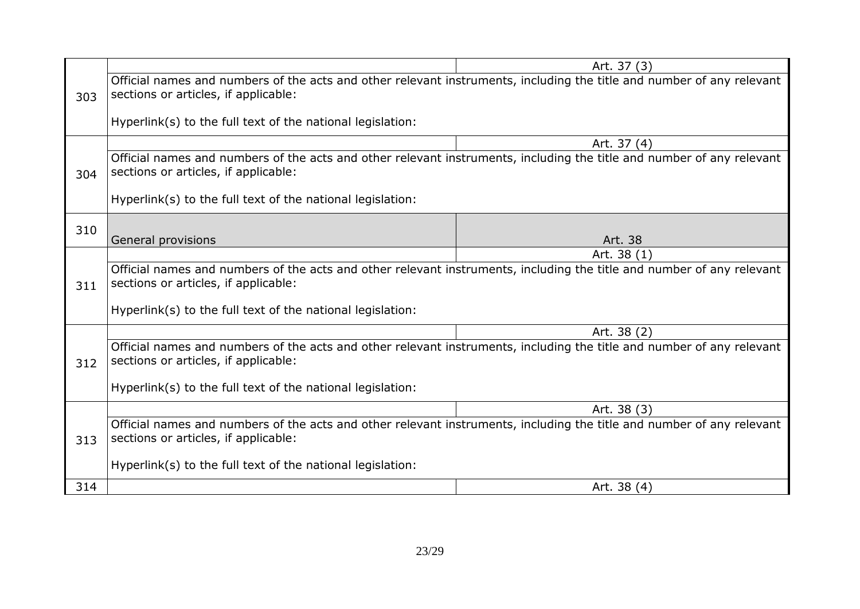|     |                                                                                                                                                               | Art. 37 (3) |
|-----|---------------------------------------------------------------------------------------------------------------------------------------------------------------|-------------|
| 303 | Official names and numbers of the acts and other relevant instruments, including the title and number of any relevant<br>sections or articles, if applicable: |             |
|     | Hyperlink(s) to the full text of the national legislation:                                                                                                    |             |
|     |                                                                                                                                                               | Art. 37 (4) |
| 304 | Official names and numbers of the acts and other relevant instruments, including the title and number of any relevant<br>sections or articles, if applicable: |             |
|     | Hyperlink(s) to the full text of the national legislation:                                                                                                    |             |
| 310 |                                                                                                                                                               |             |
|     | General provisions                                                                                                                                            | Art. 38     |
|     |                                                                                                                                                               | Art. 38 (1) |
| 311 | Official names and numbers of the acts and other relevant instruments, including the title and number of any relevant<br>sections or articles, if applicable: |             |
|     | Hyperlink(s) to the full text of the national legislation:                                                                                                    |             |
|     |                                                                                                                                                               | Art. 38 (2) |
| 312 | Official names and numbers of the acts and other relevant instruments, including the title and number of any relevant<br>sections or articles, if applicable: |             |
|     | Hyperlink(s) to the full text of the national legislation:                                                                                                    |             |
|     |                                                                                                                                                               | Art. 38 (3) |
| 313 | Official names and numbers of the acts and other relevant instruments, including the title and number of any relevant<br>sections or articles, if applicable: |             |
|     | Hyperlink(s) to the full text of the national legislation:                                                                                                    |             |
| 314 |                                                                                                                                                               | Art. 38 (4) |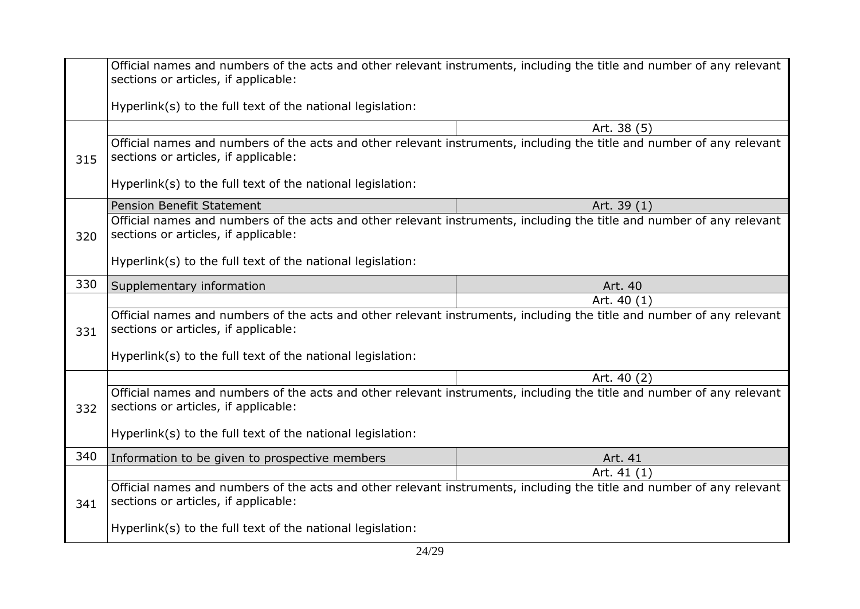|                                                                                                                                                                      | Official names and numbers of the acts and other relevant instruments, including the title and number of any relevant<br>sections or articles, if applicable: |             |
|----------------------------------------------------------------------------------------------------------------------------------------------------------------------|---------------------------------------------------------------------------------------------------------------------------------------------------------------|-------------|
|                                                                                                                                                                      | Hyperlink(s) to the full text of the national legislation:                                                                                                    |             |
|                                                                                                                                                                      |                                                                                                                                                               | Art. 38 (5) |
| 315                                                                                                                                                                  | Official names and numbers of the acts and other relevant instruments, including the title and number of any relevant<br>sections or articles, if applicable: |             |
|                                                                                                                                                                      | Hyperlink(s) to the full text of the national legislation:                                                                                                    |             |
|                                                                                                                                                                      | <b>Pension Benefit Statement</b>                                                                                                                              | Art. 39 (1) |
| 320                                                                                                                                                                  | Official names and numbers of the acts and other relevant instruments, including the title and number of any relevant<br>sections or articles, if applicable: |             |
|                                                                                                                                                                      | Hyperlink(s) to the full text of the national legislation:                                                                                                    |             |
| 330                                                                                                                                                                  | Supplementary information                                                                                                                                     | Art. 40     |
|                                                                                                                                                                      |                                                                                                                                                               | Art. 40 (1) |
| 331                                                                                                                                                                  | Official names and numbers of the acts and other relevant instruments, including the title and number of any relevant<br>sections or articles, if applicable: |             |
|                                                                                                                                                                      | Hyperlink(s) to the full text of the national legislation:                                                                                                    |             |
|                                                                                                                                                                      |                                                                                                                                                               | Art. 40 (2) |
| Official names and numbers of the acts and other relevant instruments, including the title and number of any relevant<br>sections or articles, if applicable:<br>332 |                                                                                                                                                               |             |
|                                                                                                                                                                      | Hyperlink(s) to the full text of the national legislation:                                                                                                    |             |
| 340                                                                                                                                                                  | Information to be given to prospective members                                                                                                                | Art. 41     |
|                                                                                                                                                                      |                                                                                                                                                               | Art. 41 (1) |
| 341                                                                                                                                                                  | Official names and numbers of the acts and other relevant instruments, including the title and number of any relevant<br>sections or articles, if applicable: |             |
|                                                                                                                                                                      | Hyperlink(s) to the full text of the national legislation:                                                                                                    |             |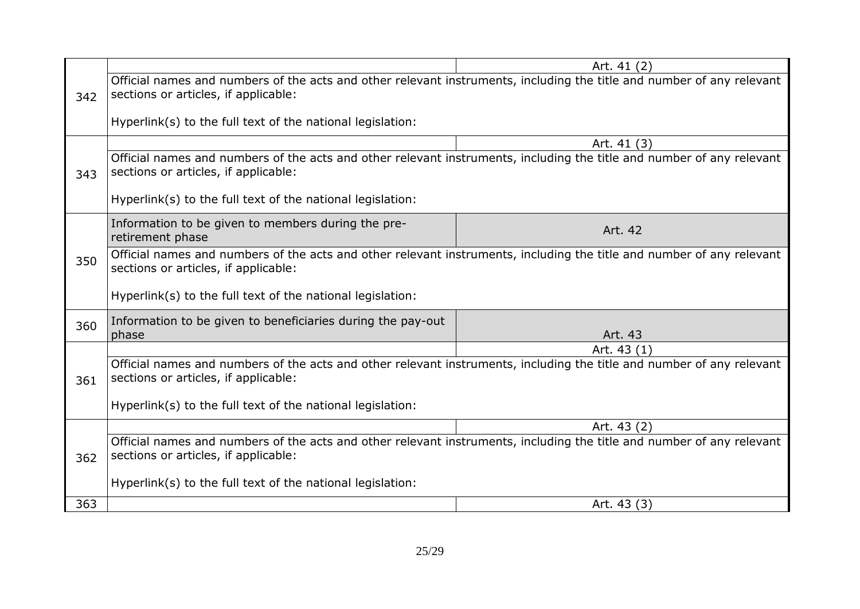|     |                                                                                                                                                               | Art. 41 (2) |
|-----|---------------------------------------------------------------------------------------------------------------------------------------------------------------|-------------|
| 342 | Official names and numbers of the acts and other relevant instruments, including the title and number of any relevant<br>sections or articles, if applicable: |             |
|     | Hyperlink(s) to the full text of the national legislation:                                                                                                    |             |
|     |                                                                                                                                                               | Art. 41 (3) |
| 343 | Official names and numbers of the acts and other relevant instruments, including the title and number of any relevant<br>sections or articles, if applicable: |             |
|     | Hyperlink(s) to the full text of the national legislation:                                                                                                    |             |
|     | Information to be given to members during the pre-<br>retirement phase                                                                                        | Art. 42     |
| 350 | Official names and numbers of the acts and other relevant instruments, including the title and number of any relevant<br>sections or articles, if applicable: |             |
|     | Hyperlink(s) to the full text of the national legislation:                                                                                                    |             |
| 360 | Information to be given to beneficiaries during the pay-out                                                                                                   |             |
|     | phase                                                                                                                                                         | Art. 43     |
|     |                                                                                                                                                               | Art. 43 (1) |
| 361 | Official names and numbers of the acts and other relevant instruments, including the title and number of any relevant<br>sections or articles, if applicable: |             |
|     | Hyperlink(s) to the full text of the national legislation:                                                                                                    |             |
|     |                                                                                                                                                               | Art. 43 (2) |
| 362 | Official names and numbers of the acts and other relevant instruments, including the title and number of any relevant<br>sections or articles, if applicable: |             |
|     | Hyperlink(s) to the full text of the national legislation:                                                                                                    |             |
| 363 |                                                                                                                                                               | Art. 43 (3) |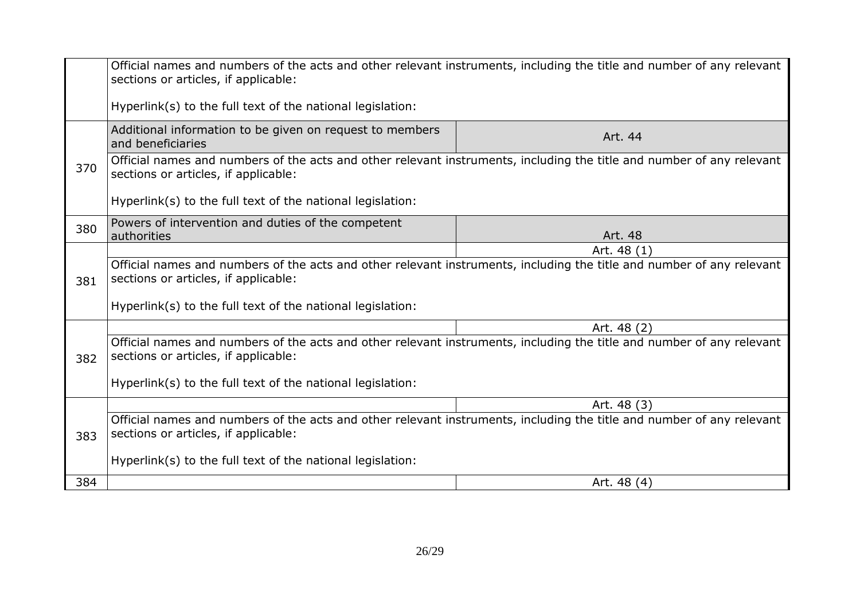|                                                                                                                                                                                     | Official names and numbers of the acts and other relevant instruments, including the title and number of any relevant<br>sections or articles, if applicable: |             |  |
|-------------------------------------------------------------------------------------------------------------------------------------------------------------------------------------|---------------------------------------------------------------------------------------------------------------------------------------------------------------|-------------|--|
|                                                                                                                                                                                     | Hyperlink(s) to the full text of the national legislation:                                                                                                    |             |  |
|                                                                                                                                                                                     | Additional information to be given on request to members<br>and beneficiaries                                                                                 | Art. 44     |  |
| 370                                                                                                                                                                                 | Official names and numbers of the acts and other relevant instruments, including the title and number of any relevant<br>sections or articles, if applicable: |             |  |
|                                                                                                                                                                                     | Hyperlink(s) to the full text of the national legislation:                                                                                                    |             |  |
| 380                                                                                                                                                                                 | Powers of intervention and duties of the competent<br>Art. 48<br>authorities                                                                                  |             |  |
|                                                                                                                                                                                     |                                                                                                                                                               | Art. 48 (1) |  |
| Official names and numbers of the acts and other relevant instruments, including the title and number of any relevant<br>sections or articles, if applicable:<br>381                |                                                                                                                                                               |             |  |
|                                                                                                                                                                                     | Hyperlink(s) to the full text of the national legislation:                                                                                                    |             |  |
|                                                                                                                                                                                     |                                                                                                                                                               | Art. 48 (2) |  |
| 382                                                                                                                                                                                 | Official names and numbers of the acts and other relevant instruments, including the title and number of any relevant<br>sections or articles, if applicable: |             |  |
| Hyperlink(s) to the full text of the national legislation:                                                                                                                          |                                                                                                                                                               |             |  |
| Art. 48 (3)<br>Official names and numbers of the acts and other relevant instruments, including the title and number of any relevant<br>sections or articles, if applicable:<br>383 |                                                                                                                                                               |             |  |
|                                                                                                                                                                                     |                                                                                                                                                               |             |  |
|                                                                                                                                                                                     | Hyperlink(s) to the full text of the national legislation:                                                                                                    |             |  |
| 384                                                                                                                                                                                 |                                                                                                                                                               | Art. 48 (4) |  |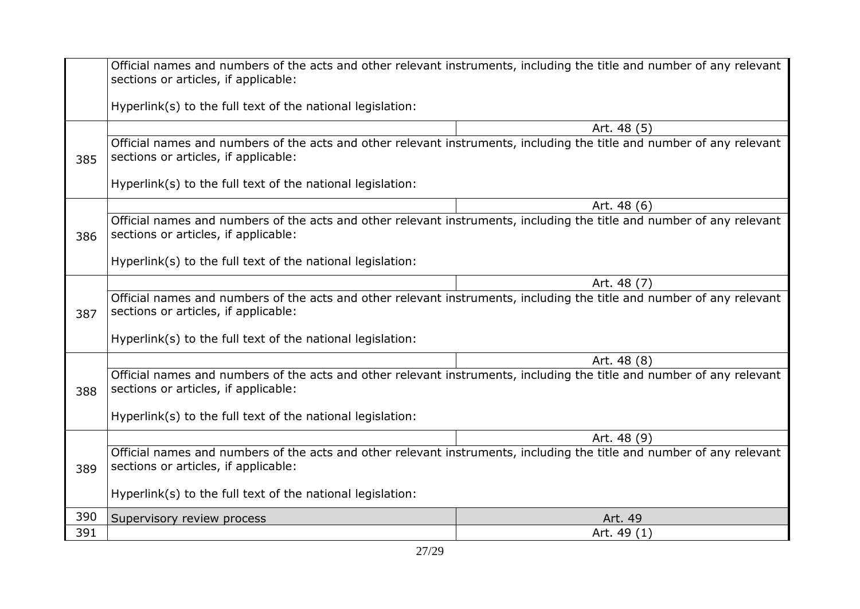|     | Official names and numbers of the acts and other relevant instruments, including the title and number of any relevant<br>sections or articles, if applicable: |             |  |
|-----|---------------------------------------------------------------------------------------------------------------------------------------------------------------|-------------|--|
|     | Hyperlink(s) to the full text of the national legislation:                                                                                                    |             |  |
|     |                                                                                                                                                               | Art. 48 (5) |  |
| 385 | Official names and numbers of the acts and other relevant instruments, including the title and number of any relevant<br>sections or articles, if applicable: |             |  |
|     | Hyperlink(s) to the full text of the national legislation:                                                                                                    |             |  |
|     |                                                                                                                                                               | Art. 48 (6) |  |
| 386 | Official names and numbers of the acts and other relevant instruments, including the title and number of any relevant<br>sections or articles, if applicable: |             |  |
|     | Hyperlink(s) to the full text of the national legislation:                                                                                                    |             |  |
|     |                                                                                                                                                               | Art. 48 (7) |  |
| 387 | Official names and numbers of the acts and other relevant instruments, including the title and number of any relevant<br>sections or articles, if applicable: |             |  |
|     | Hyperlink(s) to the full text of the national legislation:                                                                                                    |             |  |
|     |                                                                                                                                                               | Art. 48 (8) |  |
| 388 | Official names and numbers of the acts and other relevant instruments, including the title and number of any relevant<br>sections or articles, if applicable: |             |  |
|     | Hyperlink(s) to the full text of the national legislation:                                                                                                    |             |  |
|     |                                                                                                                                                               | Art. 48 (9) |  |
| 389 | Official names and numbers of the acts and other relevant instruments, including the title and number of any relevant<br>sections or articles, if applicable: |             |  |
|     | Hyperlink(s) to the full text of the national legislation:                                                                                                    |             |  |
| 390 | Supervisory review process                                                                                                                                    | Art. 49     |  |
| 391 |                                                                                                                                                               | Art. 49 (1) |  |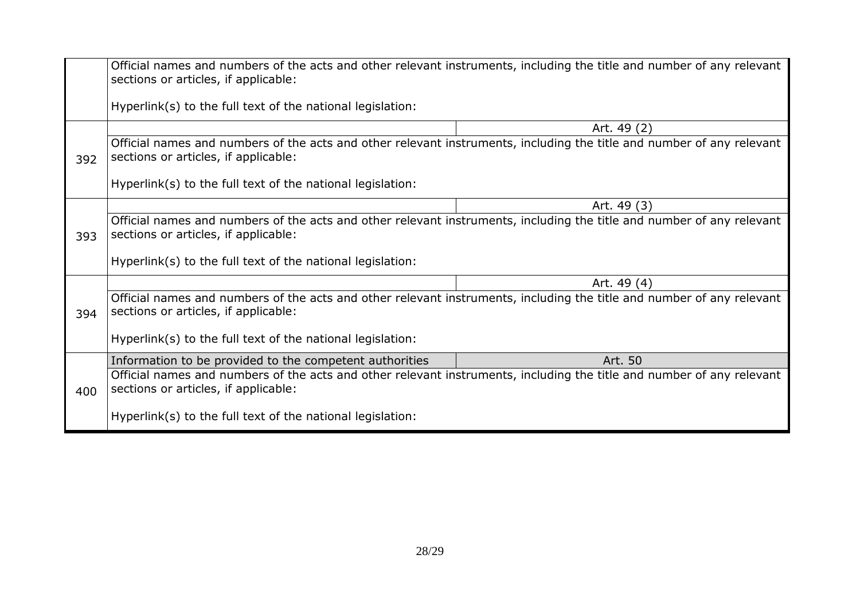|     | Official names and numbers of the acts and other relevant instruments, including the title and number of any relevant<br>sections or articles, if applicable: |
|-----|---------------------------------------------------------------------------------------------------------------------------------------------------------------|
|     | Hyperlink(s) to the full text of the national legislation:                                                                                                    |
| 392 | Art. 49 (2)                                                                                                                                                   |
|     | Official names and numbers of the acts and other relevant instruments, including the title and number of any relevant<br>sections or articles, if applicable: |
|     | Hyperlink(s) to the full text of the national legislation:                                                                                                    |
| 393 | Art. 49 (3)                                                                                                                                                   |
|     | Official names and numbers of the acts and other relevant instruments, including the title and number of any relevant<br>sections or articles, if applicable: |
|     | Hyperlink(s) to the full text of the national legislation:                                                                                                    |
| 394 | Art. 49 (4)                                                                                                                                                   |
|     | Official names and numbers of the acts and other relevant instruments, including the title and number of any relevant<br>sections or articles, if applicable: |
|     | Hyperlink(s) to the full text of the national legislation:                                                                                                    |
| 400 | Art. 50<br>Information to be provided to the competent authorities                                                                                            |
|     | Official names and numbers of the acts and other relevant instruments, including the title and number of any relevant<br>sections or articles, if applicable: |
|     | Hyperlink(s) to the full text of the national legislation:                                                                                                    |